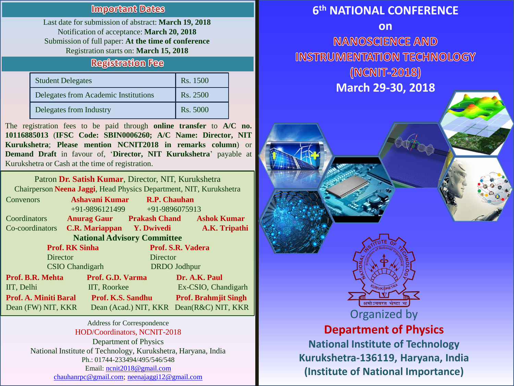#### **Important Dates**

Last date for submission of abstract: **March 19, 2018** Notification of acceptance: **March 20, 2018** Submission of full paper: **At the time of conference** Registration starts on: **March 15, 2018**

#### **Registration Fee**

| <b>Student Delegates</b>             | Rs. 1500 |
|--------------------------------------|----------|
| Delegates from Academic Institutions | Rs. 2500 |
| Delegates from Industry              | Rs. 5000 |

The registration fees to be paid through **online transfer** to **A/C no. 10116885013** (**IFSC Code: SBIN0006260; A/C Name: Director, NIT Kurukshetra**; **Please mention NCNIT2018 in remarks column**) or **Demand Draft** in favour of, '**Director, NIT Kurukshetra**' payable at Kurukshetra or Cash at the time of registration.

Patron **Dr. Satish Kumar**, Director, NIT, Kurukshetra Chairperson **Neena Jaggi**, Head Physics Department, NIT, Kurukshetra

| Convenors                          | Ashavani Kumar                   | <b>R.P. Chauhan</b> |                                          |  |
|------------------------------------|----------------------------------|---------------------|------------------------------------------|--|
|                                    | +91-9896121499                   |                     | +91-9896075913                           |  |
| Coordinators                       | <b>Anurag Gaur Prakash Chand</b> |                     | <b>Ashok Kumar</b>                       |  |
| Co-coordinators                    | C.R. Mariappan Y. Dwivedi        |                     | A.K. Tripathi                            |  |
| <b>National Advisory Committee</b> |                                  |                     |                                          |  |
| <b>Prof. RK Sinha</b>              |                                  | Prof. S.R. Vadera   |                                          |  |
| Director                           |                                  | Director            |                                          |  |
| <b>CSIO</b> Chandigarh             |                                  | <b>DRDO</b> Jodhpur |                                          |  |
| <b>Prof. B.R. Mehta</b>            | Prof. G.D. Varma                 |                     | Dr. A.K. Paul                            |  |
| IIT, Delhi                         | IIT, Roorkee                     |                     | Ex-CSIO, Chandigarh                      |  |
| <b>Prof. A. Miniti Baral</b>       | Prof. K.S. Sandhu                |                     | <b>Prof. Brahmjit Singh</b>              |  |
| Dean (FW) NIT, KKR                 |                                  |                     | Dean (Acad.) NIT, KKR Dean(R&C) NIT, KKR |  |

Address for Correspondence HOD/Coordinators, NCNIT-2018 Department of Physics National Institute of Technology, Kurukshetra, Haryana, India Ph.: 01744-233494/495/546/548 Email: [ncnit2018@gmail.com](mailto:ncnit2018@gmail.com) [chauhanrpc@gmail.com;](mailto:chauhanrpc@gmail.com) [neenajaggi12@gmail.com](mailto:neenajaggi12@gmail.com)

## **6 th NATIONAL CONFERENCE**

**on NANOSCIENCE AND INSTRUMENTATION TECHNOLOGY** (NCNIT-2018) **March 29-30, 2018**



# **Department of Physics**

**National Institute of Technology Kurukshetra-136119, Haryana, India (Institute of National Importance)**